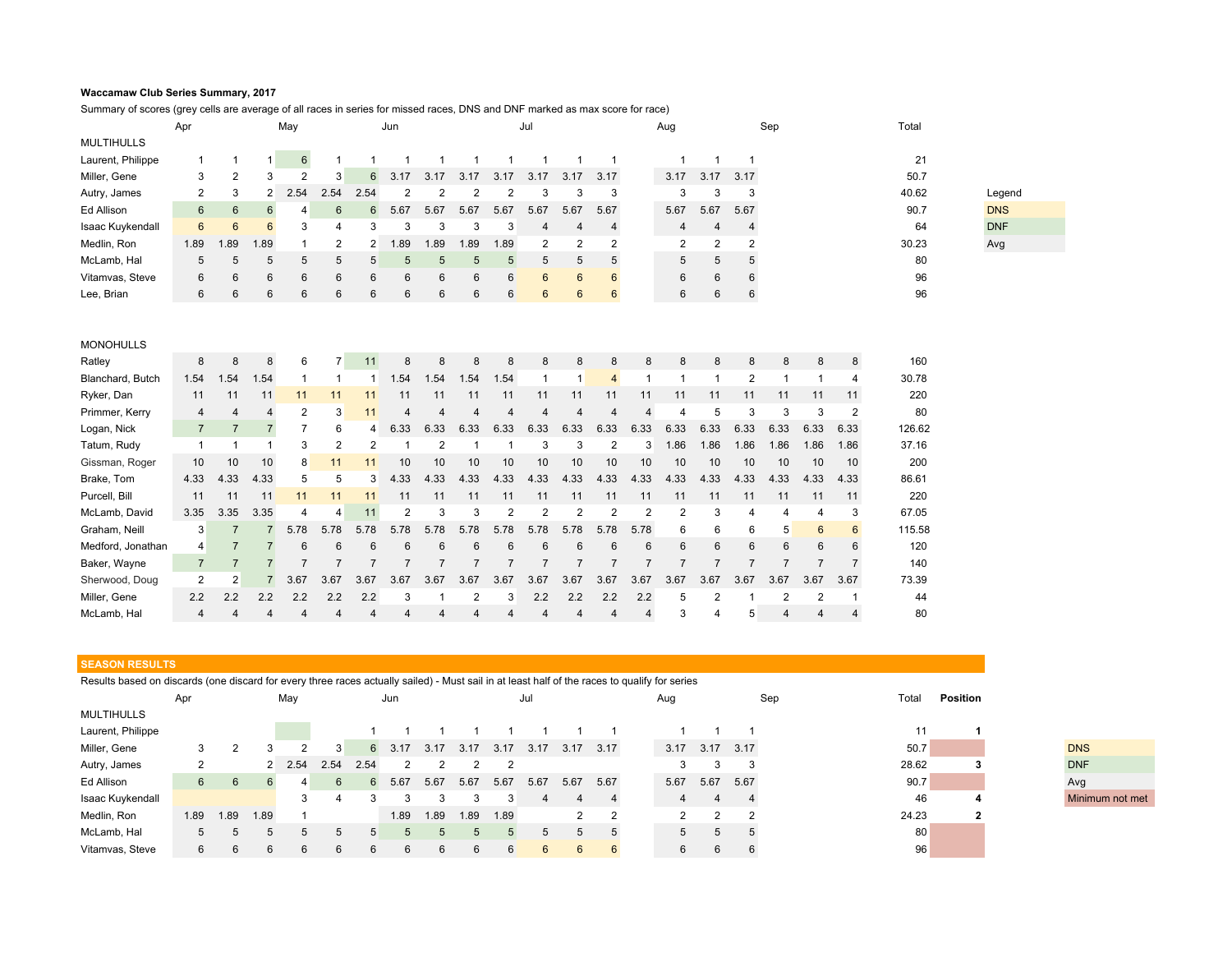## **Waccamaw Club Series Summary, 2017**

Summary of scores (grey cells are average of all races in series for missed races, DNS and DNF marked as max score for race)

|                   | Apr             |      |                 | May             |                | Jun              |      |      |      | Jul             |                |                 | Aug             |   |                      |                | Sep<br>Total   |   |   |   |       |            |
|-------------------|-----------------|------|-----------------|-----------------|----------------|------------------|------|------|------|-----------------|----------------|-----------------|-----------------|---|----------------------|----------------|----------------|---|---|---|-------|------------|
| <b>MULTIHULLS</b> |                 |      |                 |                 |                |                  |      |      |      |                 |                |                 |                 |   |                      |                |                |   |   |   |       |            |
| Laurent, Philippe |                 |      |                 | $6\overline{6}$ |                |                  |      |      |      |                 |                |                 |                 |   |                      |                |                |   |   |   | 21    |            |
| Miller, Gene      | 3               | 2    | 3               | $\overline{2}$  | $\mathbf{3}$   | $6 \overline{6}$ | 3.17 | 3.17 | 3.17 | 3.17            | 3.17           | 3.17            | 3.17            |   | 3.17                 | 3.17           | 3.17           |   |   |   | 50.7  |            |
| Autry, James      | $\overline{2}$  | 3    | 2               | 2.54            | 2.54           | 2.54             |      |      |      | 2               | 3              | 3               | 3               |   | 3                    | 3              | 3              |   |   |   | 40.62 | Legend     |
| Ed Allison        | 6               | 6    | 6               | 4               | $6^{\circ}$    | 6                | 5.67 | 5.67 | 5.67 | 5.67            | 5.67           | 5.67            | 5.67            |   | 5.67                 | 5.67           | 5.67           |   |   |   | 90.7  | <b>DNS</b> |
| Isaac Kuykendall  | $6\overline{6}$ | 6    | $6\overline{6}$ | 3               | 4              | 3                | 3    | 3    | 3    | 3               | 4              | 4               | 4               |   | 4                    | 4              | 4              |   |   |   | 64    | <b>DNF</b> |
| Medlin, Ron       | 1.89            | 1.89 | 1.89            |                 | $\overline{2}$ | 2                | 1.89 | 1.89 | 1.89 | 1.89            | $\overline{2}$ | 2               | 2               |   | $\mathbf{2}^{\circ}$ | $\overline{2}$ | $\overline{2}$ |   |   |   | 30.23 | Avg        |
| McLamb, Hal       | 5               | 5    | 5               | 5               | 5              | 5                | 5    | 5    | 5    | 5               | 5              | 5               | 5               |   | 5                    | 5              | 5              |   |   |   | 80    |            |
| Vitamvas, Steve   | 6               | 6    | 6               | 6               | 6              | 6                | 6    | 6    | 6    | 6               | 6              | $6\overline{6}$ | $6\overline{6}$ |   | 6                    | 6              | 6              |   |   |   | 96    |            |
| Lee, Brian        | 6               | 6    | 6               | 6               | 6              | 6                | 6    | 6    | 6    | $6 \overline{}$ | 6              | $6\phantom{.}6$ | 6               |   | 6                    | 6              | 6              |   |   |   | 96    |            |
|                   |                 |      |                 |                 |                |                  |      |      |      |                 |                |                 |                 |   |                      |                |                |   |   |   |       |            |
|                   |                 |      |                 |                 |                |                  |      |      |      |                 |                |                 |                 |   |                      |                |                |   |   |   |       |            |
| <b>MONOHULLS</b>  |                 |      |                 |                 |                |                  |      |      |      |                 |                |                 |                 |   |                      |                |                |   |   |   |       |            |
| Ratley            | 8               | 8    | 8               | 6               |                | 11               | 8    | 8    | 8    | 8               | 8              | 8               | 8               | 8 | 8                    | 8              | 8              | 8 | 8 | 8 | 160   |            |
| Blanchard, Butch  | 1.54            | 1.54 | 1.54            |                 |                |                  | 1.54 | 1.54 | 1.54 | 1.54            |                |                 | $\overline{4}$  |   |                      |                | 2              |   |   | 4 | 30.78 |            |

| Ryker, Dan        | 11              | 11              | 11   |      |                |               | 11       | 11   | 11   | 11              | 11   | 11              | 11   | 11   | 11   | 11   | 11   | 11             | 11             | 11   | 220    |
|-------------------|-----------------|-----------------|------|------|----------------|---------------|----------|------|------|-----------------|------|-----------------|------|------|------|------|------|----------------|----------------|------|--------|
| Primmer, Kerry    | 4               |                 |      |      | 3              | 11            | $\Delta$ | 4    | 4    | 4               | 4    | 4               | 4    |      | ⊿    |      |      |                |                |      | 80     |
| Logan, Nick       |                 |                 |      |      | 6              | 4             | 6.33     | 6.33 | 6.33 | 6.33            | 6.33 | 6.33            | 6.33 | 6.33 | 6.33 | 6.33 | 6.33 | 6.33           | 6.33           | 6.33 | 126.62 |
| Tatum, Rudy       |                 |                 |      |      |                |               |          |      |      |                 |      | 3               |      | 3    | 1.86 | 1.86 | 1.86 | 1.86           | 1.86           | 1.86 | 37.16  |
| Gissman, Roger    | 10 <sup>°</sup> | 10 <sup>°</sup> | 10   | 8    | 11             | 11            | 10       | 10   | 10   | 10 <sup>1</sup> | 10   | 10 <sup>1</sup> | 10   | 10   | 10   | 10   | 10   | 10             | 10             | 10   | 200    |
| Brake, Tom        | 4.33            | 4.33            | 4.33 | 5    | 5              | $\mathcal{B}$ | 4.33     | 4.33 | 4.33 | 4.33            | 4.33 | 4.33            | 4.33 | 4.33 | 4.33 | 4.33 | 4.33 | 4.33           | 4.33           | 4.33 | 86.61  |
| Purcell, Bill     | 11              | 11              | 11   | 11   |                |               | 11       | 11   | 11   | 11              | 11   | 11              | 11   | 11   | 11   | 11   | 11   | 11             | 11             | 11   | 220    |
| McLamb, David     | 3.35            | 3.35            | 3.35 | 4    | $\overline{4}$ | 11            | 2        |      |      |                 |      |                 |      |      |      | 3    | 4    |                |                | 3    | 67.05  |
| Graham, Neill     | 3               |                 |      | 5.78 | 5.78           | 5.78          | 5.78     | 5.78 | 5.78 | 5.78            | 5.78 | 5.78            | 5.78 | 5.78 | 6    | 6    | 6    | 5 <sup>1</sup> | $6\phantom{1}$ | 6    | 115.58 |
| Medford, Jonathan | 4               |                 |      | 6    | 6              | 6             | 6        | 6    | 6    | 6               | 6    | 6               | 6    | 6    | 6    | 6    | 6    | 6              | 6              | 6    | 120    |
| Baker, Wayne      |                 |                 |      |      |                |               |          |      |      |                 |      |                 |      |      |      |      |      |                |                |      | 140    |
| Sherwood, Doug    | 2               | 2               |      | 3.67 | 3.67           | 3.67          | 3.67     | 3.67 | 3.67 | 3.67            | 3.67 | 3.67            | 3.67 | 3.67 | 3.67 | 3.67 | 3.67 | 3.67           | 3.67           | 3.67 | 73.39  |
| Miller, Gene      | 2.2             | 2.2             | 2.2  | 2.2  | 2.2            | 2.2           |          |      | 2    | 3               | 2.2  | 2.2             | 2.2  | 2.2  | 5    |      |      |                |                |      | 44     |
| McLamb, Hal       | 4               |                 |      | 4    |                |               |          | 4    | 4    | 4               |      | 4               |      |      | 3    | 4    | 5    | 4              | 4              | 4    | 80     |

## **SEASON RESULTS**

Results based on discards (one discard for every three races actually sailed) - Must sail in at least half of the races to qualify for series Apr May Jun Jul Aug Sep Total **Position**

| <b>MULTIHULLS</b> |      |      |      |      |      |      |        |      |      |      |                |              |      |             |             |      |  |       |                 |  |
|-------------------|------|------|------|------|------|------|--------|------|------|------|----------------|--------------|------|-------------|-------------|------|--|-------|-----------------|--|
| Laurent, Philippe |      |      |      |      |      |      |        |      |      |      |                |              |      |             |             |      |  |       |                 |  |
| Miller, Gene      | 3    |      |      |      | 3    |      | 6 3.17 | 3.17 | 3.17 | 3.17 | 3.17           | 3.17         | 3.17 | 3.17        | 3.17        | 3.17 |  | 50.7  | <b>DNS</b>      |  |
| Autry, James      |      |      |      | 2.54 | 2.54 | 2.54 |        |      |      |      |                |              |      | 3           |             | 3    |  | 28.62 | <b>DNF</b>      |  |
| Ed Allison        | 6    | 6    |      |      | 6    | 6    | 5.67   | 5.67 | 5.67 | 5.67 | 5.67           | 5.67         | 5.67 | 5.67        | 5.67        | 5.67 |  | 90.7  | Avg             |  |
| Isaac Kuykendall  |      |      |      |      | 4    |      |        |      |      |      |                |              |      | 4           |             |      |  | 46    | Minimum not met |  |
| Medlin, Ron       | 1.89 | 1.89 | 1.89 |      |      |      | 1.89   | 1.89 | 1.89 | 1.89 |                | $\mathbf{2}$ |      |             | $\sim$      | ົ    |  | 24.23 |                 |  |
| McLamb, Hal       | 5    | 5    |      |      |      |      |        |      |      |      | $\overline{5}$ |              |      | $5^{\circ}$ | $5^{\circ}$ |      |  | 80    |                 |  |
| Vitamvas, Steve   | 6    | 6    |      |      | 6    | 6    | 6      |      |      | 6    | 6              | 6            | 6    | 6           | 6           |      |  | 96    |                 |  |